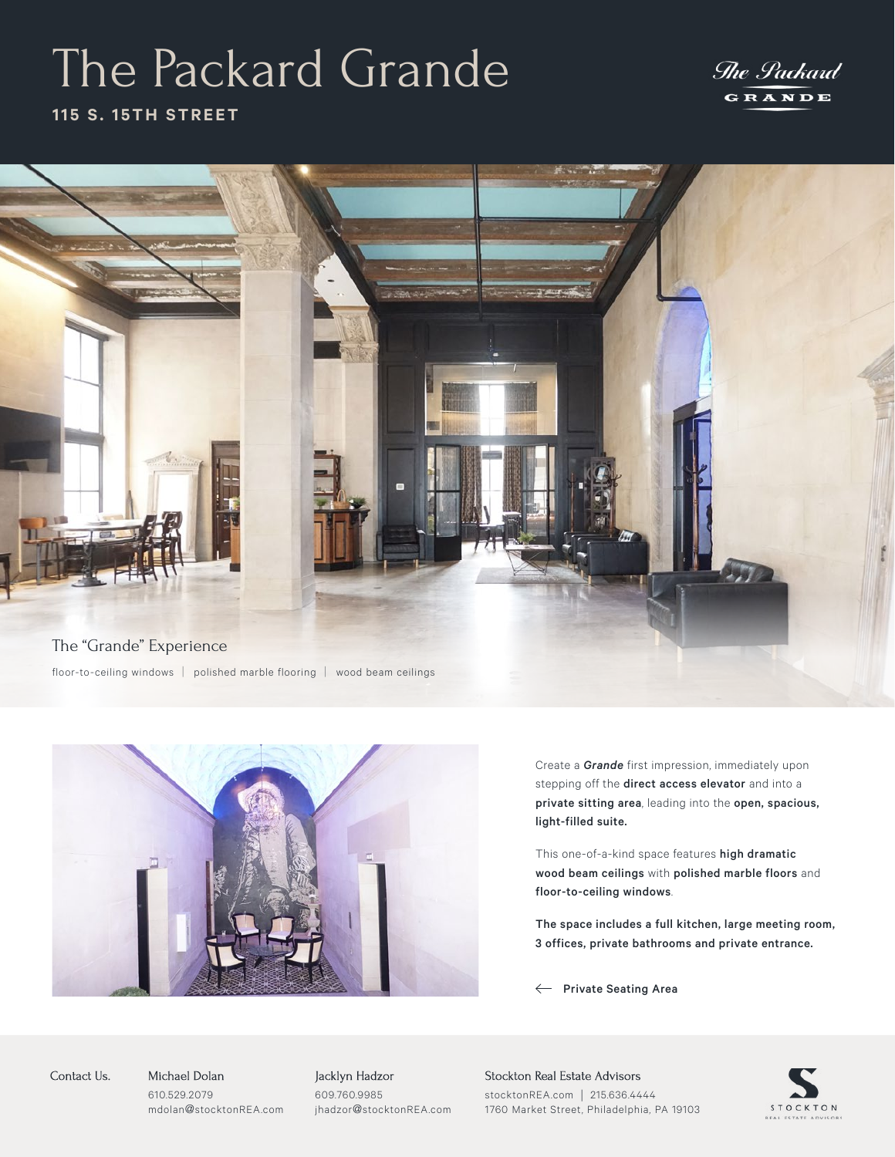# The Packard Grande

### The Packard GRANDE

### **115 S. 15TH STREET**





Create a *Grande* first impression, immediately upon stepping off the **direct access elevator** and into a private sitting area, leading into the open, spacious, light-filled suite.

This one-of-a-kind space features high dramatic wood beam ceilings with polished marble floors and floor-to-ceiling windows.

The space includes a full kitchen, large meeting room, 3 offices, private bathrooms and private entrance.

 $\leftarrow$  Private Seating Area

STOCKTON

Michael Dolan 610.529.2079 mdolan@stocktonREA.com Contact Us. Michael Dolan Jacklyn Hadzor

609.760.9985 jhadzor@stocktonREA.com Stockton Real Estate Advisors stocktonREA.com | 215.636.4444 1760 Market Street, Philadelphia, PA 19103